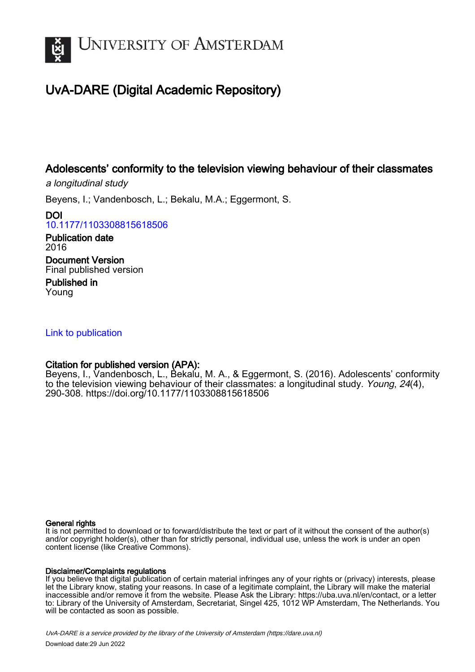

# UvA-DARE (Digital Academic Repository)

# Adolescents' conformity to the television viewing behaviour of their classmates

a longitudinal study

Beyens, I.; Vandenbosch, L.; Bekalu, M.A.; Eggermont, S.

DOI [10.1177/1103308815618506](https://doi.org/10.1177/1103308815618506)

Publication date 2016 Document Version Final published version Published in

Young

# [Link to publication](https://dare.uva.nl/personal/pure/en/publications/adolescents-conformity-to-the-television-viewing-behaviour-of-their-classmates(54f1c856-5539-498e-9cf9-bf2a257900c2).html)

# Citation for published version (APA):

Beyens, I., Vandenbosch, L., Bekalu, M. A., & Eggermont, S. (2016). Adolescents' conformity to the television viewing behaviour of their classmates: a longitudinal study. Young, 24(4), 290-308. <https://doi.org/10.1177/1103308815618506>

## General rights

It is not permitted to download or to forward/distribute the text or part of it without the consent of the author(s) and/or copyright holder(s), other than for strictly personal, individual use, unless the work is under an open content license (like Creative Commons).

# Disclaimer/Complaints regulations

If you believe that digital publication of certain material infringes any of your rights or (privacy) interests, please let the Library know, stating your reasons. In case of a legitimate complaint, the Library will make the material inaccessible and/or remove it from the website. Please Ask the Library: https://uba.uva.nl/en/contact, or a letter to: Library of the University of Amsterdam, Secretariat, Singel 425, 1012 WP Amsterdam, The Netherlands. You will be contacted as soon as possible.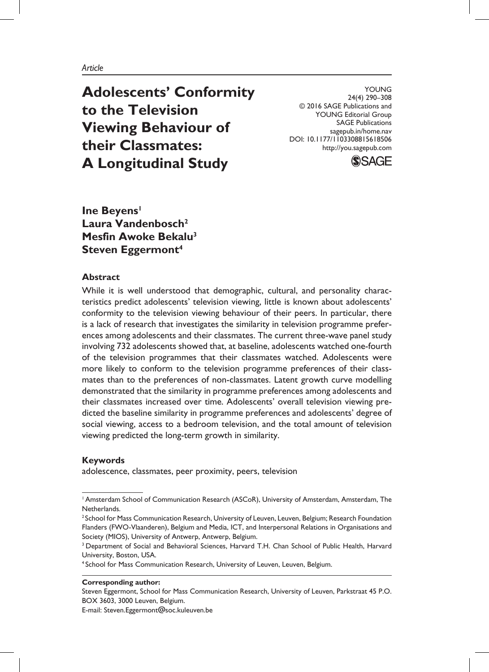# **Adolescents' Conformity to the Television Viewing Behaviour of their Classmates: A Longitudinal Study**

Young 24(4) 290–308 © 2016 Sage Publications and YOUNG Editorial Group SAGE Publications sagepub.in/home.nav DOI: 10.1177/1103308815618506 http://you.sagepub.com



**Ine Beyens<sup>1</sup> Laura Vandenbosch2 Mesfin Awoke Bekalu3 Steven Eggermont4**

## **Abstract**

While it is well understood that demographic, cultural, and personality characteristics predict adolescents' television viewing, little is known about adolescents' conformity to the television viewing behaviour of their peers. In particular, there is a lack of research that investigates the similarity in television programme preferences among adolescents and their classmates. The current three-wave panel study involving 732 adolescents showed that, at baseline, adolescents watched one-fourth of the television programmes that their classmates watched. Adolescents were more likely to conform to the television programme preferences of their classmates than to the preferences of non-classmates. Latent growth curve modelling demonstrated that the similarity in programme preferences among adolescents and their classmates increased over time. Adolescents' overall television viewing predicted the baseline similarity in programme preferences and adolescents' degree of social viewing, access to a bedroom television, and the total amount of television viewing predicted the long-term growth in similarity.

## **Keywords**

adolescence, classmates, peer proximity, peers, television

#### **Corresponding author:**

Steven Eggermont, School for Mass Communication Research, University of Leuven, Parkstraat 45 P.O. BOX 3603, 3000 Leuven, Belgium.

<sup>1</sup> Amsterdam School of Communication Research (ASCoR), University of Amsterdam, Amsterdam, The Netherlands.

<sup>&</sup>lt;sup>2</sup> School for Mass Communication Research, University of Leuven, Leuven, Belgium; Research Foundation Flanders (FWO-Vlaanderen), Belgium and Media, ICT, and Interpersonal Relations in Organisations and Society (MIOS), University of Antwerp, Antwerp, Belgium.

<sup>&</sup>lt;sup>3</sup> Department of Social and Behavioral Sciences, Harvard T.H. Chan School of Public Health, Harvard University, Boston, USA.

<sup>4</sup> School for Mass Communication Research, University of Leuven, Leuven, Belgium.

E-mail: Steven.Eggermont@soc.kuleuven.be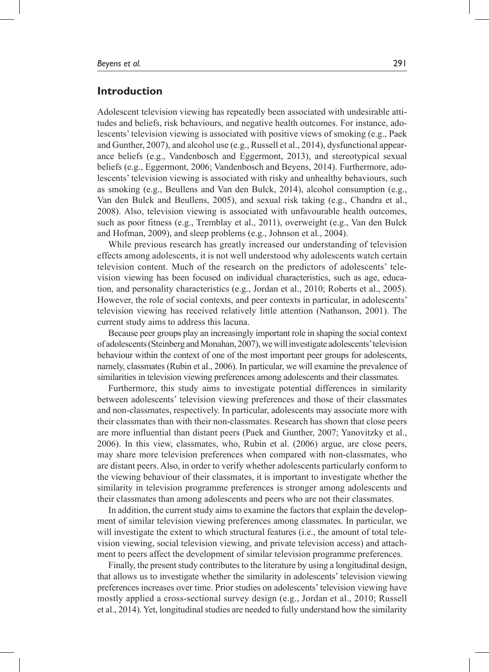## **Introduction**

Adolescent television viewing has repeatedly been associated with undesirable attitudes and beliefs, risk behaviours, and negative health outcomes. For instance, adolescents' television viewing is associated with positive views of smoking (e.g., Paek and Gunther, 2007), and alcohol use (e.g., Russell et al., 2014), dysfunctional appearance beliefs (e.g., Vandenbosch and Eggermont, 2013), and stereotypical sexual beliefs (e.g., Eggermont, 2006; Vandenbosch and Beyens, 2014). Furthermore, adolescents' television viewing is associated with risky and unhealthy behaviours, such as smoking (e.g., Beullens and Van den Bulck, 2014), alcohol consumption (e.g., Van den Bulck and Beullens, 2005), and sexual risk taking (e.g., Chandra et al., 2008). Also, television viewing is associated with unfavourable health outcomes, such as poor fitness (e.g., Tremblay et al., 2011), overweight (e.g., Van den Bulck and Hofman, 2009), and sleep problems (e.g., Johnson et al., 2004).

While previous research has greatly increased our understanding of television effects among adolescents, it is not well understood why adolescents watch certain television content. Much of the research on the predictors of adolescents' television viewing has been focused on individual characteristics, such as age, education, and personality characteristics (e.g., Jordan et al., 2010; Roberts et al., 2005). However, the role of social contexts, and peer contexts in particular, in adolescents' television viewing has received relatively little attention (Nathanson, 2001). The current study aims to address this lacuna.

Because peer groups play an increasingly important role in shaping the social context of adolescents (Steinberg and Monahan, 2007), we will investigate adolescents' television behaviour within the context of one of the most important peer groups for adolescents, namely, classmates (Rubin et al., 2006). In particular, we will examine the prevalence of similarities in television viewing preferences among adolescents and their classmates.

Furthermore, this study aims to investigate potential differences in similarity between adolescents' television viewing preferences and those of their classmates and non-classmates, respectively. In particular, adolescents may associate more with their classmates than with their non-classmates. Research has shown that close peers are more influential than distant peers (Paek and Gunther, 2007; Yanovitzky et al., 2006). In this view, classmates, who, Rubin et al. (2006) argue, are close peers, may share more television preferences when compared with non-classmates, who are distant peers. Also, in order to verify whether adolescents particularly conform to the viewing behaviour of their classmates, it is important to investigate whether the similarity in television programme preferences is stronger among adolescents and their classmates than among adolescents and peers who are not their classmates.

In addition, the current study aims to examine the factors that explain the development of similar television viewing preferences among classmates. In particular, we will investigate the extent to which structural features (i.e., the amount of total television viewing, social television viewing, and private television access) and attachment to peers affect the development of similar television programme preferences.

Finally, the present study contributes to the literature by using a longitudinal design, that allows us to investigate whether the similarity in adolescents' television viewing preferences increases over time. Prior studies on adolescents' television viewing have mostly applied a cross-sectional survey design (e.g., Jordan et al., 2010; Russell et al., 2014). Yet, longitudinal studies are needed to fully understand how the similarity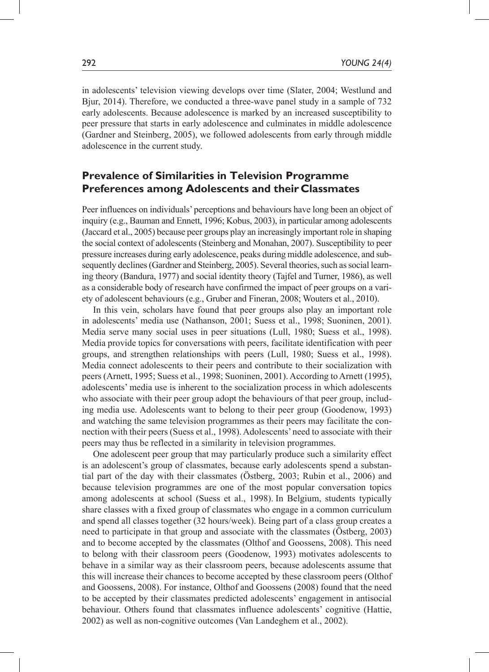in adolescents' television viewing develops over time (Slater, 2004; Westlund and Bjur, 2014). Therefore, we conducted a three-wave panel study in a sample of 732 early adolescents. Because adolescence is marked by an increased susceptibility to peer pressure that starts in early adolescence and culminates in middle adolescence (Gardner and Steinberg, 2005), we followed adolescents from early through middle adolescence in the current study.

# **Prevalence of Similarities in Television Programme Preferences among Adolescents and their Classmates**

Peer influences on individuals' perceptions and behaviours have long been an object of inquiry (e.g., Bauman and Ennett, 1996; Kobus, 2003), in particular among adolescents (Jaccard et al., 2005) because peer groups play an increasingly important role in shaping the social context of adolescents (Steinberg and Monahan, 2007). Susceptibility to peer pressure increases during early adolescence, peaks during middle adolescence, and subsequently declines (Gardner and Steinberg, 2005). Several theories, such as social learning theory (Bandura, 1977) and social identity theory (Tajfel and Turner, 1986), as well as a considerable body of research have confirmed the impact of peer groups on a variety of adolescent behaviours (e.g., Gruber and Fineran, 2008; Wouters et al., 2010).

In this vein, scholars have found that peer groups also play an important role in adolescents' media use (Nathanson, 2001; Suess et al., 1998; Suoninen, 2001). Media serve many social uses in peer situations (Lull, 1980; Suess et al., 1998). Media provide topics for conversations with peers, facilitate identification with peer groups, and strengthen relationships with peers (Lull, 1980; Suess et al., 1998). Media connect adolescents to their peers and contribute to their socialization with peers (Arnett, 1995; Suess et al., 1998; Suoninen, 2001). According to Arnett (1995), adolescents' media use is inherent to the socialization process in which adolescents who associate with their peer group adopt the behaviours of that peer group, including media use. Adolescents want to belong to their peer group (Goodenow, 1993) and watching the same television programmes as their peers may facilitate the connection with their peers (Suess et al., 1998). Adolescents' need to associate with their peers may thus be reflected in a similarity in television programmes.

One adolescent peer group that may particularly produce such a similarity effect is an adolescent's group of classmates, because early adolescents spend a substantial part of the day with their classmates (Östberg, 2003; Rubin et al., 2006) and because television programmes are one of the most popular conversation topics among adolescents at school (Suess et al., 1998). In Belgium, students typically share classes with a fixed group of classmates who engage in a common curriculum and spend all classes together (32 hours/week). Being part of a class group creates a need to participate in that group and associate with the classmates (Östberg, 2003) and to become accepted by the classmates (Olthof and Goossens, 2008). This need to belong with their classroom peers (Goodenow, 1993) motivates adolescents to behave in a similar way as their classroom peers, because adolescents assume that this will increase their chances to become accepted by these classroom peers (Olthof and Goossens, 2008). For instance, Olthof and Goossens (2008) found that the need to be accepted by their classmates predicted adolescents' engagement in antisocial behaviour. Others found that classmates influence adolescents' cognitive (Hattie, 2002) as well as non-cognitive outcomes (Van Landeghem et al., 2002).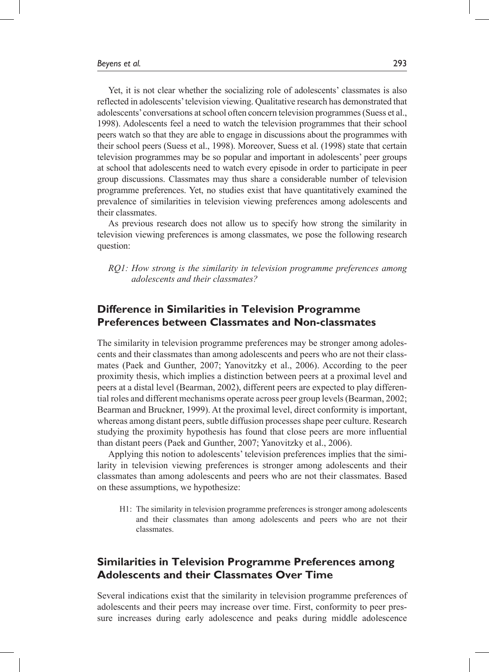Yet, it is not clear whether the socializing role of adolescents' classmates is also reflected in adolescents' television viewing. Qualitative research has demonstrated that adolescents' conversations at school often concern television programmes (Suess et al., 1998). Adolescents feel a need to watch the television programmes that their school peers watch so that they are able to engage in discussions about the programmes with their school peers (Suess et al., 1998). Moreover, Suess et al. (1998) state that certain television programmes may be so popular and important in adolescents' peer groups at school that adolescents need to watch every episode in order to participate in peer group discussions. Classmates may thus share a considerable number of television programme preferences. Yet, no studies exist that have quantitatively examined the prevalence of similarities in television viewing preferences among adolescents and their classmates.

As previous research does not allow us to specify how strong the similarity in television viewing preferences is among classmates, we pose the following research question:

*RQ1: How strong is the similarity in television programme preferences among adolescents and their classmates?*

# **Difference in Similarities in Television Programme Preferences between Classmates and Non-classmates**

The similarity in television programme preferences may be stronger among adolescents and their classmates than among adolescents and peers who are not their classmates (Paek and Gunther, 2007; Yanovitzky et al., 2006). According to the peer proximity thesis, which implies a distinction between peers at a proximal level and peers at a distal level (Bearman, 2002), different peers are expected to play differential roles and different mechanisms operate across peer group levels (Bearman, 2002; Bearman and Bruckner, 1999). At the proximal level, direct conformity is important, whereas among distant peers, subtle diffusion processes shape peer culture. Research studying the proximity hypothesis has found that close peers are more influential than distant peers (Paek and Gunther, 2007; Yanovitzky et al., 2006).

Applying this notion to adolescents' television preferences implies that the similarity in television viewing preferences is stronger among adolescents and their classmates than among adolescents and peers who are not their classmates. Based on these assumptions, we hypothesize:

H1: The similarity in television programme preferences is stronger among adolescents and their classmates than among adolescents and peers who are not their classmates.

# **Similarities in Television Programme Preferences among Adolescents and their Classmates Over Time**

Several indications exist that the similarity in television programme preferences of adolescents and their peers may increase over time. First, conformity to peer pressure increases during early adolescence and peaks during middle adolescence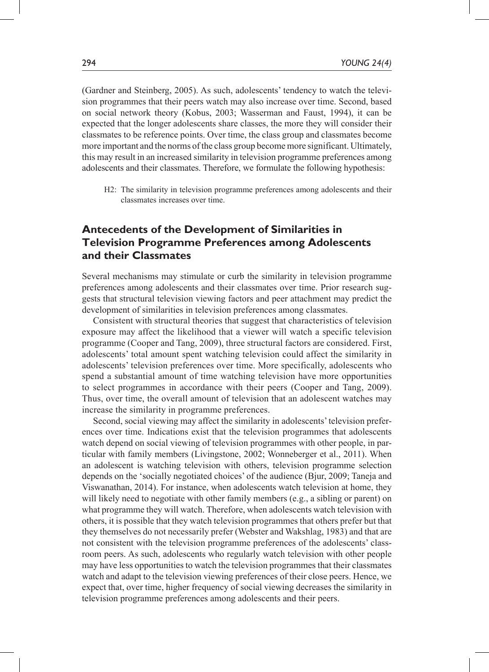(Gardner and Steinberg, 2005). As such, adolescents' tendency to watch the television programmes that their peers watch may also increase over time. Second, based on social network theory (Kobus, 2003; Wasserman and Faust, 1994), it can be expected that the longer adolescents share classes, the more they will consider their classmates to be reference points. Over time, the class group and classmates become more important and the norms of the class group become more significant. Ultimately, this may result in an increased similarity in television programme preferences among adolescents and their classmates. Therefore, we formulate the following hypothesis:

H2: The similarity in television programme preferences among adolescents and their classmates increases over time.

# **Antecedents of the Development of Similarities in Television Programme Preferences among Adolescents and their Classmates**

Several mechanisms may stimulate or curb the similarity in television programme preferences among adolescents and their classmates over time. Prior research suggests that structural television viewing factors and peer attachment may predict the development of similarities in television preferences among classmates.

Consistent with structural theories that suggest that characteristics of television exposure may affect the likelihood that a viewer will watch a specific television programme (Cooper and Tang, 2009), three structural factors are considered. First, adolescents' total amount spent watching television could affect the similarity in adolescents' television preferences over time. More specifically, adolescents who spend a substantial amount of time watching television have more opportunities to select programmes in accordance with their peers (Cooper and Tang, 2009). Thus, over time, the overall amount of television that an adolescent watches may increase the similarity in programme preferences.

Second, social viewing may affect the similarity in adolescents' television preferences over time. Indications exist that the television programmes that adolescents watch depend on social viewing of television programmes with other people, in particular with family members (Livingstone, 2002; Wonneberger et al., 2011). When an adolescent is watching television with others, television programme selection depends on the 'socially negotiated choices' of the audience (Bjur, 2009; Taneja and Viswanathan, 2014). For instance, when adolescents watch television at home, they will likely need to negotiate with other family members (e.g., a sibling or parent) on what programme they will watch. Therefore, when adolescents watch television with others, it is possible that they watch television programmes that others prefer but that they themselves do not necessarily prefer (Webster and Wakshlag, 1983) and that are not consistent with the television programme preferences of the adolescents' classroom peers. As such, adolescents who regularly watch television with other people may have less opportunities to watch the television programmes that their classmates watch and adapt to the television viewing preferences of their close peers. Hence, we expect that, over time, higher frequency of social viewing decreases the similarity in television programme preferences among adolescents and their peers.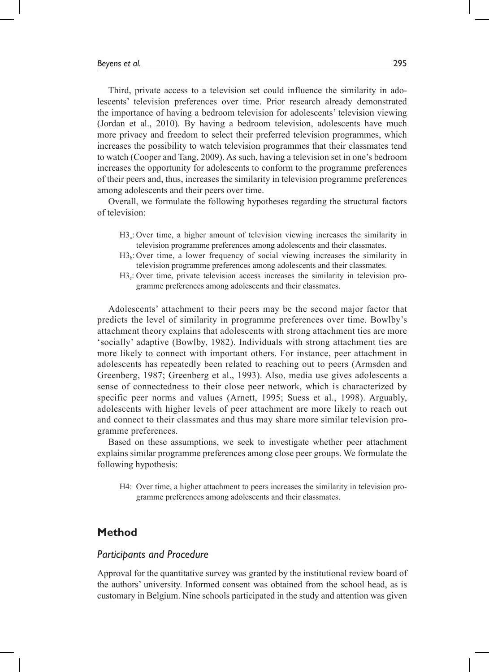Third, private access to a television set could influence the similarity in adolescents' television preferences over time. Prior research already demonstrated the importance of having a bedroom television for adolescents' television viewing (Jordan et al., 2010). By having a bedroom television, adolescents have much more privacy and freedom to select their preferred television programmes, which increases the possibility to watch television programmes that their classmates tend to watch (Cooper and Tang, 2009). As such, having a television set in one's bedroom increases the opportunity for adolescents to conform to the programme preferences of their peers and, thus, increases the similarity in television programme preferences among adolescents and their peers over time.

Overall, we formulate the following hypotheses regarding the structural factors of television:

- H3<sub>a</sub>: Over time, a higher amount of television viewing increases the similarity in television programme preferences among adolescents and their classmates.
- $H3<sub>b</sub>$ : Over time, a lower frequency of social viewing increases the similarity in television programme preferences among adolescents and their classmates.
- H3<sub>c</sub>: Over time, private television access increases the similarity in television programme preferences among adolescents and their classmates.

Adolescents' attachment to their peers may be the second major factor that predicts the level of similarity in programme preferences over time. Bowlby's attachment theory explains that adolescents with strong attachment ties are more 'socially' adaptive (Bowlby, 1982). Individuals with strong attachment ties are more likely to connect with important others. For instance, peer attachment in adolescents has repeatedly been related to reaching out to peers (Armsden and Greenberg, 1987; Greenberg et al., 1993). Also, media use gives adolescents a sense of connectedness to their close peer network, which is characterized by specific peer norms and values (Arnett, 1995; Suess et al., 1998). Arguably, adolescents with higher levels of peer attachment are more likely to reach out and connect to their classmates and thus may share more similar television programme preferences.

Based on these assumptions, we seek to investigate whether peer attachment explains similar programme preferences among close peer groups. We formulate the following hypothesis:

H4: Over time, a higher attachment to peers increases the similarity in television programme preferences among adolescents and their classmates.

# **Method**

### *Participants and Procedure*

Approval for the quantitative survey was granted by the institutional review board of the authors' university. Informed consent was obtained from the school head, as is customary in Belgium. Nine schools participated in the study and attention was given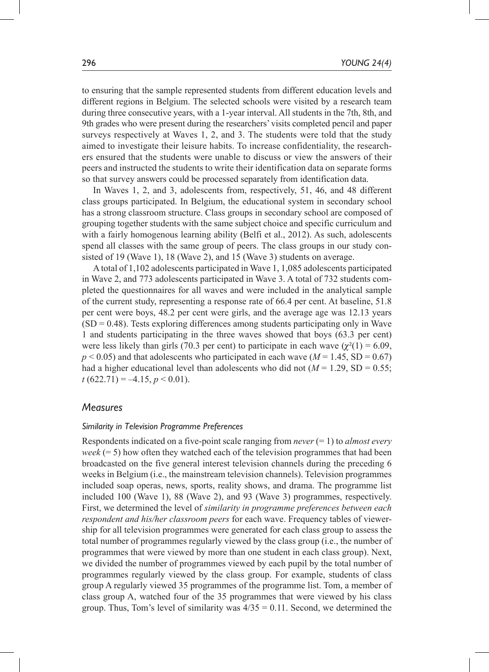to ensuring that the sample represented students from different education levels and different regions in Belgium. The selected schools were visited by a research team during three consecutive years, with a 1-year interval. All students in the 7th, 8th, and 9th grades who were present during the researchers' visits completed pencil and paper surveys respectively at Waves 1, 2, and 3. The students were told that the study aimed to investigate their leisure habits. To increase confidentiality, the researchers ensured that the students were unable to discuss or view the answers of their peers and instructed the students to write their identification data on separate forms so that survey answers could be processed separately from identification data.

In Waves 1, 2, and 3, adolescents from, respectively, 51, 46, and 48 different class groups participated. In Belgium, the educational system in secondary school has a strong classroom structure. Class groups in secondary school are composed of grouping together students with the same subject choice and specific curriculum and with a fairly homogenous learning ability (Belfi et al., 2012). As such, adolescents spend all classes with the same group of peers. The class groups in our study consisted of 19 (Wave 1), 18 (Wave 2), and 15 (Wave 3) students on average.

A total of 1,102 adolescents participated in Wave 1, 1,085 adolescents participated in Wave 2, and 773 adolescents participated in Wave 3. A total of 732 students completed the questionnaires for all waves and were included in the analytical sample of the current study, representing a response rate of 66.4 per cent. At baseline, 51.8 per cent were boys, 48.2 per cent were girls, and the average age was 12.13 years  $(SD = 0.48)$ . Tests exploring differences among students participating only in Wave 1 and students participating in the three waves showed that boys (63.3 per cent) were less likely than girls (70.3 per cent) to participate in each wave  $(\chi^2(1) = 6.09)$ ,  $p < 0.05$ ) and that adolescents who participated in each wave ( $M = 1.45$ , SD = 0.67) had a higher educational level than adolescents who did not  $(M = 1.29, SD = 0.55;$  $t(622.71) = -4.15, p < 0.01$ .

#### *Measures*

#### *Similarity in Television Programme Preferences*

Respondents indicated on a five-point scale ranging from *never* (= 1) to *almost every*   $week (= 5)$  how often they watched each of the television programmes that had been broadcasted on the five general interest television channels during the preceding 6 weeks in Belgium (i.e., the mainstream television channels). Television programmes included soap operas, news, sports, reality shows, and drama. The programme list included 100 (Wave 1), 88 (Wave 2), and 93 (Wave 3) programmes, respectively. First, we determined the level of *similarity in programme preferences between each respondent and his/her classroom peers* for each wave. Frequency tables of viewership for all television programmes were generated for each class group to assess the total number of programmes regularly viewed by the class group (i.e., the number of programmes that were viewed by more than one student in each class group). Next, we divided the number of programmes viewed by each pupil by the total number of programmes regularly viewed by the class group. For example, students of class group A regularly viewed 35 programmes of the programme list. Tom, a member of class group A, watched four of the 35 programmes that were viewed by his class group. Thus, Tom's level of similarity was  $4/35 = 0.11$ . Second, we determined the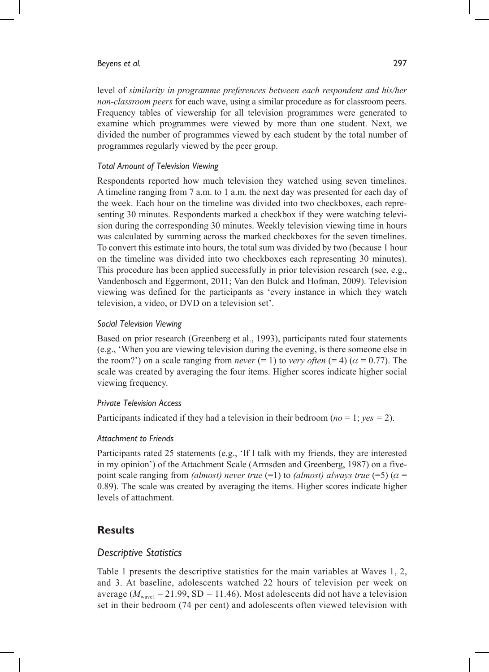level of *similarity in programme preferences between each respondent and his/her non-classroom peers* for each wave, using a similar procedure as for classroom peers. Frequency tables of viewership for all television programmes were generated to examine which programmes were viewed by more than one student. Next, we divided the number of programmes viewed by each student by the total number of programmes regularly viewed by the peer group.

### *Total Amount of Television Viewing*

Respondents reported how much television they watched using seven timelines. A timeline ranging from 7 a.m. to 1 a.m. the next day was presented for each day of the week. Each hour on the timeline was divided into two checkboxes, each representing 30 minutes. Respondents marked a checkbox if they were watching television during the corresponding 30 minutes. Weekly television viewing time in hours was calculated by summing across the marked checkboxes for the seven timelines. To convert this estimate into hours, the total sum was divided by two (because 1 hour on the timeline was divided into two checkboxes each representing 30 minutes). This procedure has been applied successfully in prior television research (see, e.g., Vandenbosch and Eggermont, 2011; Van den Bulck and Hofman, 2009). Television viewing was defined for the participants as 'every instance in which they watch television, a video, or DVD on a television set'.

#### *Social Television Viewing*

Based on prior research (Greenberg et al., 1993), participants rated four statements (e.g., 'When you are viewing television during the evening, is there someone else in the room?') on a scale ranging from *never*  $(= 1)$  to *very often*  $(= 4)$   $(\alpha = 0.77)$ . The scale was created by averaging the four items. Higher scores indicate higher social viewing frequency.

#### *Private Television Access*

Participants indicated if they had a television in their bedroom (*no* = 1; *yes =* 2).

#### *Attachment to Friends*

Participants rated 25 statements (e.g., 'If I talk with my friends, they are interested in my opinion') of the Attachment Scale (Armsden and Greenberg, 1987) on a fivepoint scale ranging from *(almost) never true*  $(=1)$  to *(almost) always true*  $(=5)$  ( $\alpha$  = 0.89). The scale was created by averaging the items. Higher scores indicate higher levels of attachment.

# **Results**

### *Descriptive Statistics*

Table 1 presents the descriptive statistics for the main variables at Waves 1, 2, and 3. At baseline, adolescents watched 22 hours of television per week on average  $(M_{\text{wave}} = 21.99, SD = 11.46)$ . Most adolescents did not have a television set in their bedroom (74 per cent) and adolescents often viewed television with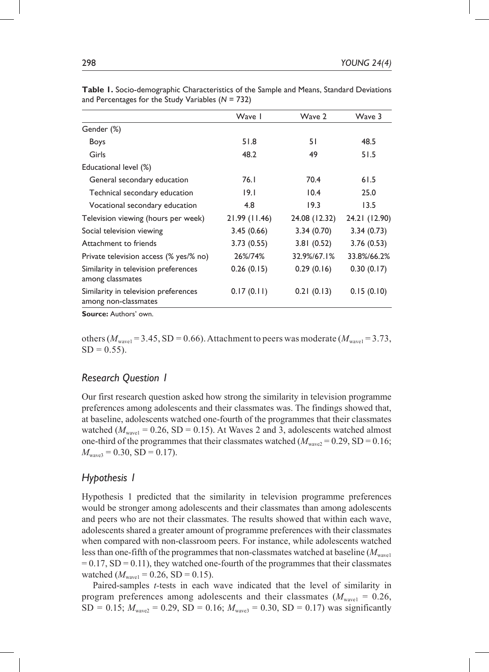|                                                              | Wave I        | Wave 2        | Wave 3        |
|--------------------------------------------------------------|---------------|---------------|---------------|
| Gender (%)                                                   |               |               |               |
| Boys                                                         | 51.8          | 51            | 48.5          |
| Girls                                                        | 48.2          | 49            | 51.5          |
| Educational level (%)                                        |               |               |               |
| General secondary education                                  | 76.I          | 70.4          | 61.5          |
| Technical secondary education                                | 19.1          | 10.4          | 25.0          |
| Vocational secondary education                               | 4.8           | 19.3          | 13.5          |
| Television viewing (hours per week)                          | 21.99 (11.46) | 24.08 (12.32) | 24.21 (12.90) |
| Social television viewing                                    | 3.45(0.66)    | 3.34(0.70)    | 3.34(0.73)    |
| Attachment to friends                                        | 3.73(0.55)    | 3.81(0.52)    | 3.76(0.53)    |
| Private television access (% yes/% no)                       | 26%/74%       | 32.9%/67.1%   | 33.8%/66.2%   |
| Similarity in television preferences<br>among classmates     | 0.26(0.15)    | 0.29(0.16)    | 0.30(0.17)    |
| Similarity in television preferences<br>among non-classmates | 0.17(0.11)    | 0.21(0.13)    | 0.15(0.10)    |

**Table 1.** Socio-demographic Characteristics of the Sample and Means, Standard Deviations and Percentages for the Study Variables (*N* = 732)

**Source:** Authors' own.

others  $(M_{\text{wave}} = 3.45, SD = 0.66)$ . Attachment to peers was moderate  $(M_{\text{wave}} = 3.73,$  $SD = 0.55$ ).

## *Research Question 1*

Our first research question asked how strong the similarity in television programme preferences among adolescents and their classmates was. The findings showed that, at baseline, adolescents watched one-fourth of the programmes that their classmates watched  $(M_{\text{wave}} = 0.26, SD = 0.15)$ . At Waves 2 and 3, adolescents watched almost one-third of the programmes that their classmates watched  $(M_{\text{wave}} = 0.29, SD = 0.16;$  $M_{\text{wave3}} = 0.30, SD = 0.17$ .

## *Hypothesis 1*

Hypothesis 1 predicted that the similarity in television programme preferences would be stronger among adolescents and their classmates than among adolescents and peers who are not their classmates. The results showed that within each wave, adolescents shared a greater amount of programme preferences with their classmates when compared with non-classroom peers. For instance, while adolescents watched less than one-fifth of the programmes that non-classmates watched at baseline  $(M_{\text{wave}})$  $= 0.17$ , SD = 0.11), they watched one-fourth of the programmes that their classmates watched  $(M_{\text{wave1}} = 0.26, SD = 0.15)$ .

Paired-samples *t-*tests in each wave indicated that the level of similarity in program preferences among adolescents and their classmates ( $M_{\text{wave1}} = 0.26$ ,  $SD = 0.15$ ;  $M_{wave2} = 0.29$ ,  $SD = 0.16$ ;  $M_{wave3} = 0.30$ ,  $SD = 0.17$ ) was significantly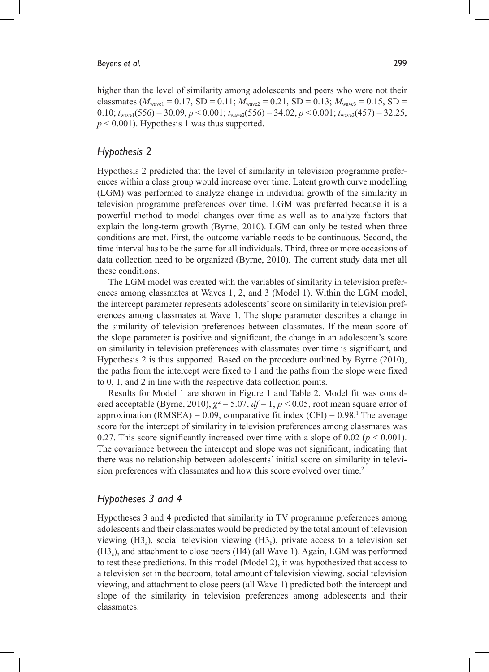higher than the level of similarity among adolescents and peers who were not their classmates ( $M_{\text{wave1}} = 0.17$ , SD = 0.11;  $M_{\text{wave2}} = 0.21$ , SD = 0.13;  $M_{\text{wave3}} = 0.15$ , SD = 0.10;  $t_{wave1}(556) = 30.09$ ,  $p < 0.001$ ;  $t_{wave2}(556) = 34.02$ ,  $p < 0.001$ ;  $t_{wave3}(457) = 32.25$ ,  $p \le 0.001$ ). Hypothesis 1 was thus supported.

## *Hypothesis 2*

Hypothesis 2 predicted that the level of similarity in television programme preferences within a class group would increase over time. Latent growth curve modelling (LGM) was performed to analyze change in individual growth of the similarity in television programme preferences over time. LGM was preferred because it is a powerful method to model changes over time as well as to analyze factors that explain the long-term growth (Byrne, 2010). LGM can only be tested when three conditions are met. First, the outcome variable needs to be continuous. Second, the time interval has to be the same for all individuals. Third, three or more occasions of data collection need to be organized (Byrne, 2010). The current study data met all these conditions.

The LGM model was created with the variables of similarity in television preferences among classmates at Waves 1, 2, and 3 (Model 1). Within the LGM model, the intercept parameter represents adolescents' score on similarity in television preferences among classmates at Wave 1. The slope parameter describes a change in the similarity of television preferences between classmates. If the mean score of the slope parameter is positive and significant, the change in an adolescent's score on similarity in television preferences with classmates over time is significant, and Hypothesis 2 is thus supported. Based on the procedure outlined by Byrne (2010), the paths from the intercept were fixed to 1 and the paths from the slope were fixed to 0, 1, and 2 in line with the respective data collection points.

Results for Model 1 are shown in Figure 1 and Table 2. Model fit was considered acceptable (Byrne, 2010),  $\chi^2 = 5.07$ ,  $df = 1$ ,  $p < 0.05$ , root mean square error of approximation  $(RMSEA) = 0.09$ , comparative fit index  $(CFI) = 0.98$ .<sup>1</sup> The average score for the intercept of similarity in television preferences among classmates was 0.27. This score significantly increased over time with a slope of 0.02 ( $p < 0.001$ ). The covariance between the intercept and slope was not significant, indicating that there was no relationship between adolescents' initial score on similarity in television preferences with classmates and how this score evolved over time.<sup>2</sup>

## *Hypotheses 3 and 4*

Hypotheses 3 and 4 predicted that similarity in TV programme preferences among adolescents and their classmates would be predicted by the total amount of television viewing  $(H3_a)$ , social television viewing  $(H3_b)$ , private access to a television set  $(H3<sub>c</sub>)$ , and attachment to close peers  $(H4)$  (all Wave 1). Again, LGM was performed to test these predictions. In this model (Model 2), it was hypothesized that access to a television set in the bedroom, total amount of television viewing, social television viewing, and attachment to close peers (all Wave 1) predicted both the intercept and slope of the similarity in television preferences among adolescents and their classmates.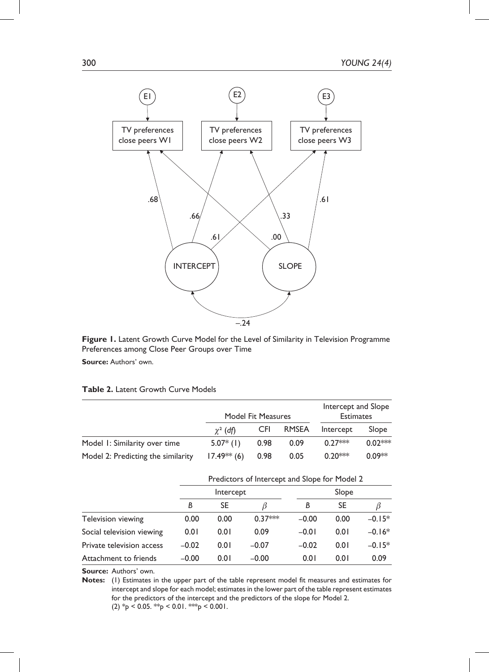

**Figure 1.** Latent Growth Curve Model for the Level of Similarity in Television Programme Preferences among Close Peer Groups over Time

**Source:** Authors' own.

|                                    | <b>Model Fit Measures</b> |      |              | Intercept and Slope<br><b>Estimates</b> |           |
|------------------------------------|---------------------------|------|--------------|-----------------------------------------|-----------|
|                                    | $\gamma^2$ (df)           | CFI. | <b>RMSEA</b> | Intercept                               | Slope     |
| Model 1: Similarity over time      | $5.07*(1)$                | 0.98 | 0.09         | $0.27***$                               | $0.02***$ |
| Model 2: Predicting the similarity | $17.49**$ (6)             | 0.98 | 0.05         | $0.20***$                               | $0.09**$  |

#### **Table 2.** Latent Growth Curve Models

|                           | Predictors of Intercept and Slope for Model 2 |      |           |         |      |          |  |  |
|---------------------------|-----------------------------------------------|------|-----------|---------|------|----------|--|--|
|                           | Intercept                                     |      |           | Slope   |      |          |  |  |
|                           | B                                             | SE   |           | В       | SE   |          |  |  |
| Television viewing        | 0.00                                          | 0.00 | $0.37***$ | $-0.00$ | 0.00 | $-0.15*$ |  |  |
| Social television viewing | 0.01                                          | 0.01 | 0.09      | $-0.01$ | 0.01 | $-0.16*$ |  |  |
| Private television access | $-0.02$                                       | 0.01 | $-0.07$   | $-0.02$ | 0.01 | $-0.15*$ |  |  |
| Attachment to friends     | $-0.00$                                       | 0.01 | $-0.00$   | 0.01    | 0.01 | 0.09     |  |  |

**Source:** Authors' own.

**Notes:** (1) Estimates in the upper part of the table represent model fit measures and estimates for intercept and slope for each model; estimates in the lower part of the table represent estimates for the predictors of the intercept and the predictors of the slope for Model 2. (2)  ${}^*p$  < 0.05.  ${}^{\ast\ast}p$  < 0.01.  ${}^{\ast\ast\ast}p$  < 0.001.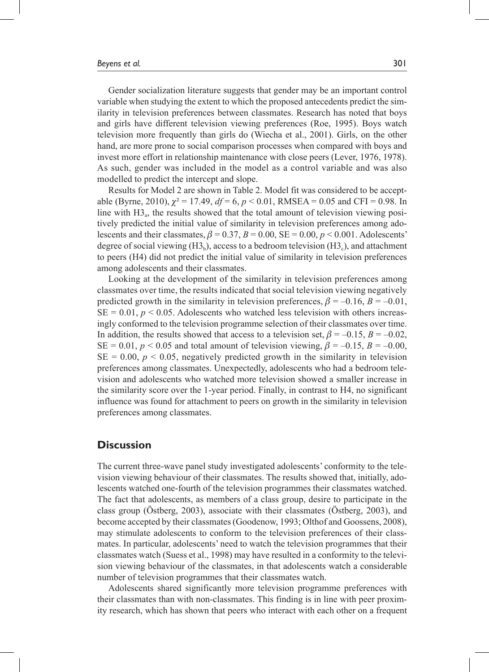Gender socialization literature suggests that gender may be an important control variable when studying the extent to which the proposed antecedents predict the similarity in television preferences between classmates. Research has noted that boys and girls have different television viewing preferences (Roe, 1995). Boys watch television more frequently than girls do (Wiecha et al., 2001). Girls, on the other hand, are more prone to social comparison processes when compared with boys and invest more effort in relationship maintenance with close peers (Lever, 1976, 1978). As such, gender was included in the model as a control variable and was also modelled to predict the intercept and slope.

Results for Model 2 are shown in Table 2. Model fit was considered to be acceptable (Byrne, 2010),  $\chi^2 = 17.49$ ,  $df = 6$ ,  $p < 0.01$ , RMSEA = 0.05 and CFI = 0.98. In line with  $H3_a$ , the results showed that the total amount of television viewing positively predicted the initial value of similarity in television preferences among adolescents and their classmates,  $\beta = 0.37$ ,  $B = 0.00$ ,  $SE = 0.00$ ,  $p < 0.001$ . Adolescents' degree of social viewing  $(H3<sub>b</sub>)$ , access to a bedroom television  $(H3<sub>c</sub>)$ , and attachment to peers (H4) did not predict the initial value of similarity in television preferences among adolescents and their classmates.

Looking at the development of the similarity in television preferences among classmates over time, the results indicated that social television viewing negatively predicted growth in the similarity in television preferences,  $\beta = -0.16$ ,  $B = -0.01$ ,  $SE = 0.01$ ,  $p < 0.05$ . Adolescents who watched less television with others increasingly conformed to the television programme selection of their classmates over time. In addition, the results showed that access to a television set,  $\beta = -0.15$ ,  $B = -0.02$ ,  $SE = 0.01$ ,  $p < 0.05$  and total amount of television viewing,  $\beta = -0.15$ ,  $B = -0.00$ ,  $SE = 0.00, p < 0.05$ , negatively predicted growth in the similarity in television preferences among classmates. Unexpectedly, adolescents who had a bedroom television and adolescents who watched more television showed a smaller increase in the similarity score over the 1-year period. Finally, in contrast to H4, no significant influence was found for attachment to peers on growth in the similarity in television preferences among classmates.

## **Discussion**

The current three-wave panel study investigated adolescents' conformity to the television viewing behaviour of their classmates. The results showed that, initially, adolescents watched one-fourth of the television programmes their classmates watched. The fact that adolescents, as members of a class group, desire to participate in the class group (Östberg, 2003), associate with their classmates (Östberg, 2003), and become accepted by their classmates (Goodenow, 1993; Olthof and Goossens, 2008), may stimulate adolescents to conform to the television preferences of their classmates. In particular, adolescents' need to watch the television programmes that their classmates watch (Suess et al., 1998) may have resulted in a conformity to the television viewing behaviour of the classmates, in that adolescents watch a considerable number of television programmes that their classmates watch.

Adolescents shared significantly more television programme preferences with their classmates than with non-classmates. This finding is in line with peer proximity research, which has shown that peers who interact with each other on a frequent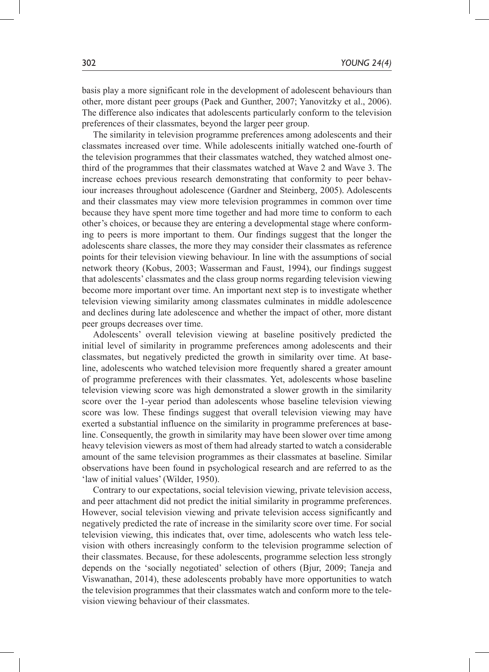basis play a more significant role in the development of adolescent behaviours than other, more distant peer groups (Paek and Gunther, 2007; Yanovitzky et al., 2006). The difference also indicates that adolescents particularly conform to the television preferences of their classmates, beyond the larger peer group.

The similarity in television programme preferences among adolescents and their classmates increased over time. While adolescents initially watched one-fourth of the television programmes that their classmates watched, they watched almost onethird of the programmes that their classmates watched at Wave 2 and Wave 3. The increase echoes previous research demonstrating that conformity to peer behaviour increases throughout adolescence (Gardner and Steinberg, 2005). Adolescents and their classmates may view more television programmes in common over time because they have spent more time together and had more time to conform to each other's choices, or because they are entering a developmental stage where conforming to peers is more important to them. Our findings suggest that the longer the adolescents share classes, the more they may consider their classmates as reference points for their television viewing behaviour. In line with the assumptions of social network theory (Kobus, 2003; Wasserman and Faust, 1994), our findings suggest that adolescents' classmates and the class group norms regarding television viewing become more important over time. An important next step is to investigate whether television viewing similarity among classmates culminates in middle adolescence and declines during late adolescence and whether the impact of other, more distant peer groups decreases over time.

Adolescents' overall television viewing at baseline positively predicted the initial level of similarity in programme preferences among adolescents and their classmates, but negatively predicted the growth in similarity over time. At baseline, adolescents who watched television more frequently shared a greater amount of programme preferences with their classmates. Yet, adolescents whose baseline television viewing score was high demonstrated a slower growth in the similarity score over the 1-year period than adolescents whose baseline television viewing score was low. These findings suggest that overall television viewing may have exerted a substantial influence on the similarity in programme preferences at baseline. Consequently, the growth in similarity may have been slower over time among heavy television viewers as most of them had already started to watch a considerable amount of the same television programmes as their classmates at baseline. Similar observations have been found in psychological research and are referred to as the 'law of initial values' (Wilder, 1950).

Contrary to our expectations, social television viewing, private television access, and peer attachment did not predict the initial similarity in programme preferences. However, social television viewing and private television access significantly and negatively predicted the rate of increase in the similarity score over time. For social television viewing, this indicates that, over time, adolescents who watch less television with others increasingly conform to the television programme selection of their classmates. Because, for these adolescents, programme selection less strongly depends on the 'socially negotiated' selection of others (Bjur, 2009; Taneja and Viswanathan, 2014), these adolescents probably have more opportunities to watch the television programmes that their classmates watch and conform more to the television viewing behaviour of their classmates.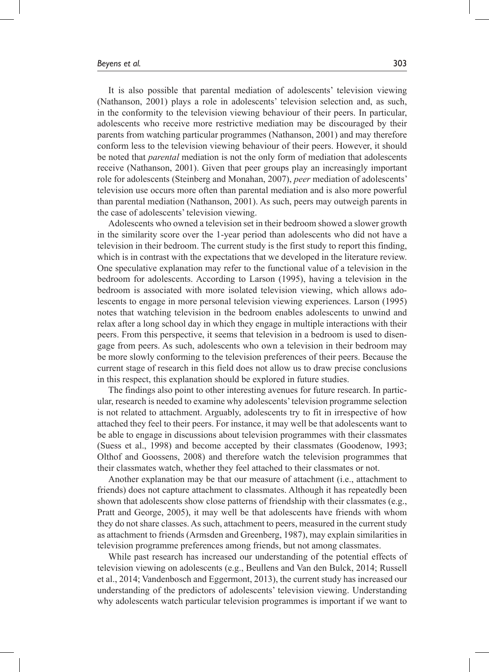It is also possible that parental mediation of adolescents' television viewing (Nathanson, 2001) plays a role in adolescents' television selection and, as such, in the conformity to the television viewing behaviour of their peers. In particular, adolescents who receive more restrictive mediation may be discouraged by their parents from watching particular programmes (Nathanson, 2001) and may therefore conform less to the television viewing behaviour of their peers. However, it should be noted that *parental* mediation is not the only form of mediation that adolescents receive (Nathanson, 2001). Given that peer groups play an increasingly important role for adolescents (Steinberg and Monahan, 2007), *peer* mediation of adolescents' television use occurs more often than parental mediation and is also more powerful than parental mediation (Nathanson, 2001). As such, peers may outweigh parents in the case of adolescents' television viewing.

Adolescents who owned a television set in their bedroom showed a slower growth in the similarity score over the 1-year period than adolescents who did not have a television in their bedroom. The current study is the first study to report this finding, which is in contrast with the expectations that we developed in the literature review. One speculative explanation may refer to the functional value of a television in the bedroom for adolescents. According to Larson (1995), having a television in the bedroom is associated with more isolated television viewing, which allows adolescents to engage in more personal television viewing experiences. Larson (1995) notes that watching television in the bedroom enables adolescents to unwind and relax after a long school day in which they engage in multiple interactions with their peers. From this perspective, it seems that television in a bedroom is used to disengage from peers. As such, adolescents who own a television in their bedroom may be more slowly conforming to the television preferences of their peers. Because the current stage of research in this field does not allow us to draw precise conclusions in this respect, this explanation should be explored in future studies.

The findings also point to other interesting avenues for future research. In particular, research is needed to examine why adolescents' television programme selection is not related to attachment. Arguably, adolescents try to fit in irrespective of how attached they feel to their peers. For instance, it may well be that adolescents want to be able to engage in discussions about television programmes with their classmates (Suess et al., 1998) and become accepted by their classmates (Goodenow, 1993; Olthof and Goossens, 2008) and therefore watch the television programmes that their classmates watch, whether they feel attached to their classmates or not.

Another explanation may be that our measure of attachment (i.e., attachment to friends) does not capture attachment to classmates. Although it has repeatedly been shown that adolescents show close patterns of friendship with their classmates (e.g., Pratt and George, 2005), it may well be that adolescents have friends with whom they do not share classes. As such, attachment to peers, measured in the current study as attachment to friends (Armsden and Greenberg, 1987), may explain similarities in television programme preferences among friends, but not among classmates.

While past research has increased our understanding of the potential effects of television viewing on adolescents (e.g., Beullens and Van den Bulck, 2014; Russell et al., 2014; Vandenbosch and Eggermont, 2013), the current study has increased our understanding of the predictors of adolescents' television viewing. Understanding why adolescents watch particular television programmes is important if we want to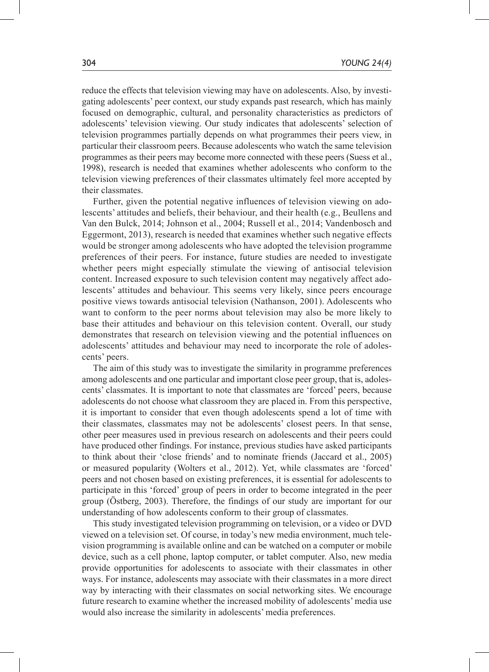reduce the effects that television viewing may have on adolescents. Also, by investigating adolescents' peer context, our study expands past research, which has mainly focused on demographic, cultural, and personality characteristics as predictors of adolescents' television viewing. Our study indicates that adolescents' selection of television programmes partially depends on what programmes their peers view, in particular their classroom peers. Because adolescents who watch the same television programmes as their peers may become more connected with these peers (Suess et al., 1998), research is needed that examines whether adolescents who conform to the television viewing preferences of their classmates ultimately feel more accepted by their classmates.

Further, given the potential negative influences of television viewing on adolescents' attitudes and beliefs, their behaviour, and their health (e.g., Beullens and Van den Bulck, 2014; Johnson et al., 2004; Russell et al., 2014; Vandenbosch and Eggermont, 2013), research is needed that examines whether such negative effects would be stronger among adolescents who have adopted the television programme preferences of their peers. For instance, future studies are needed to investigate whether peers might especially stimulate the viewing of antisocial television content. Increased exposure to such television content may negatively affect adolescents' attitudes and behaviour. This seems very likely, since peers encourage positive views towards antisocial television (Nathanson, 2001). Adolescents who want to conform to the peer norms about television may also be more likely to base their attitudes and behaviour on this television content. Overall, our study demonstrates that research on television viewing and the potential influences on adolescents' attitudes and behaviour may need to incorporate the role of adolescents' peers.

The aim of this study was to investigate the similarity in programme preferences among adolescents and one particular and important close peer group, that is, adolescents' classmates. It is important to note that classmates are 'forced' peers, because adolescents do not choose what classroom they are placed in. From this perspective, it is important to consider that even though adolescents spend a lot of time with their classmates, classmates may not be adolescents' closest peers. In that sense, other peer measures used in previous research on adolescents and their peers could have produced other findings. For instance, previous studies have asked participants to think about their 'close friends' and to nominate friends (Jaccard et al., 2005) or measured popularity (Wolters et al., 2012). Yet, while classmates are 'forced' peers and not chosen based on existing preferences, it is essential for adolescents to participate in this 'forced' group of peers in order to become integrated in the peer group (Östberg, 2003). Therefore, the findings of our study are important for our understanding of how adolescents conform to their group of classmates.

This study investigated television programming on television, or a video or DVD viewed on a television set. Of course, in today's new media environment, much television programming is available online and can be watched on a computer or mobile device, such as a cell phone, laptop computer, or tablet computer. Also, new media provide opportunities for adolescents to associate with their classmates in other ways. For instance, adolescents may associate with their classmates in a more direct way by interacting with their classmates on social networking sites. We encourage future research to examine whether the increased mobility of adolescents' media use would also increase the similarity in adolescents' media preferences.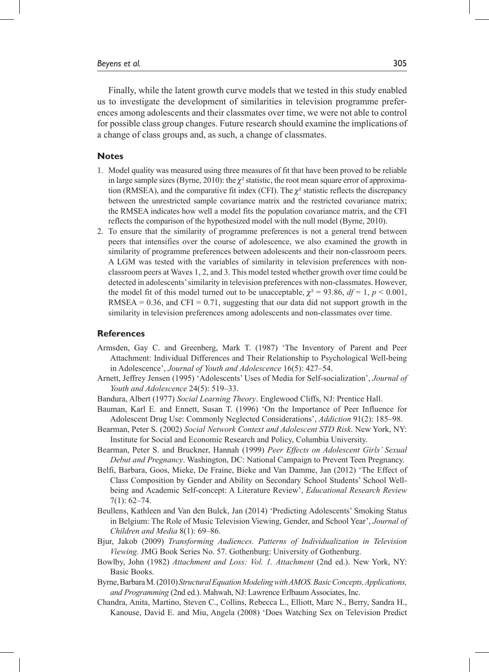Finally, while the latent growth curve models that we tested in this study enabled us to investigate the development of similarities in television programme preferences among adolescents and their classmates over time, we were not able to control for possible class group changes. Future research should examine the implications of a change of class groups and, as such, a change of classmates.

#### **Notes**

- 1. Model quality was measured using three measures of fit that have been proved to be reliable in large sample sizes (Byrne, 2010): the  $\gamma^2$  statistic, the root mean square error of approximation (RMSEA), and the comparative fit index (CFI). The  $\chi^2$  statistic reflects the discrepancy between the unrestricted sample covariance matrix and the restricted covariance matrix; the RMSEA indicates how well a model fits the population covariance matrix, and the CFI reflects the comparison of the hypothesized model with the null model (Byrne, 2010).
- 2. To ensure that the similarity of programme preferences is not a general trend between peers that intensifies over the course of adolescence, we also examined the growth in similarity of programme preferences between adolescents and their non-classroom peers. A LGM was tested with the variables of similarity in television preferences with nonclassroom peers at Waves 1, 2, and 3. This model tested whether growth over time could be detected in adolescents' similarity in television preferences with non-classmates. However, the model fit of this model turned out to be unacceptable,  $\chi^2 = 93.86$ ,  $df = 1$ ,  $p < 0.001$ , RMSEA =  $0.36$ , and CFI =  $0.71$ , suggesting that our data did not support growth in the similarity in television preferences among adolescents and non-classmates over time.

#### **References**

- Armsden, Gay C. and Greenberg, Mark T. (1987) 'The Inventory of Parent and Peer Attachment: Individual Differences and Their Relationship to Psychological Well-being in Adolescence', *Journal of Youth and Adolescence* 16(5): 427–54.
- Arnett, Jeffrey Jensen (1995) 'Adolescents' Uses of Media for Self-socialization', *Journal of Youth and Adolescence* 24(5): 519–33.
- Bandura, Albert (1977) *Social Learning Theory*. Englewood Cliffs, NJ: Prentice Hall.
- Bauman, Karl E. and Ennett, Susan T. (1996) 'On the Importance of Peer Influence for Adolescent Drug Use: Commonly Neglected Considerations', *Addiction* 91(2): 185–98.
- Bearman, Peter S. (2002) *Social Network Context and Adolescent STD Risk*. New York, NY: Institute for Social and Economic Research and Policy, Columbia University.
- Bearman, Peter S. and Bruckner, Hannah (1999) *Peer Effects on Adolescent Girls' Sexual Debut and Pregnancy*. Washington, DC: National Campaign to Prevent Teen Pregnancy.
- Belfi, Barbara, Goos, Mieke, De Fraine, Bieke and Van Damme, Jan (2012) 'The Effect of Class Composition by Gender and Ability on Secondary School Students' School Wellbeing and Academic Self-concept: A Literature Review', *Educational Research Review*  7(1): 62–74.
- Beullens, Kathleen and Van den Bulck, Jan (2014) 'Predicting Adolescents' Smoking Status in Belgium: The Role of Music Television Viewing, Gender, and School Year', *Journal of Children and Media* 8(1): 69–86.
- Bjur, Jakob (2009) *Transforming Audiences. Patterns of Individualization in Television Viewing.* JMG Book Series No. 57. Gothenburg: University of Gothenburg.
- Bowlby, John (1982) *Attachment and Loss: Vol. 1. Attachment* (2nd ed.). New York, NY: Basic Books.
- Byrne, Barbara M. (2010) *Structural Equation Modeling with AMOS. Basic Concepts, Applications, and Programming* (2nd ed.). Mahwah, NJ: Lawrence Erlbaum Associates, Inc.
- Chandra, Anita, Martino, Steven C., Collins, Rebecca L., Elliott, Marc N., Berry, Sandra H., Kanouse, David E. and Miu, Angela (2008) 'Does Watching Sex on Television Predict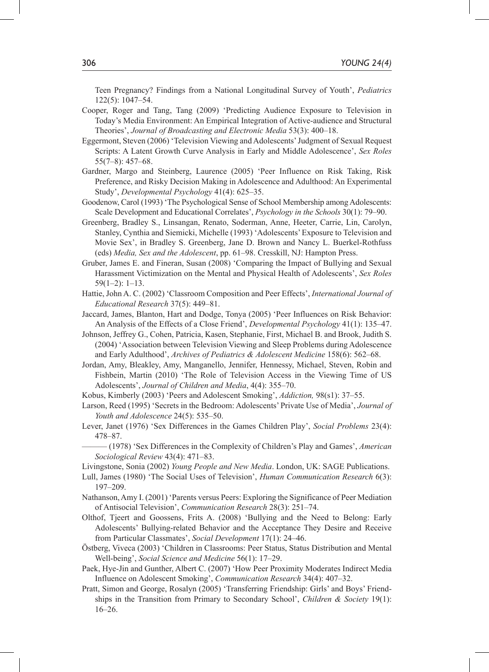Teen Pregnancy? Findings from a National Longitudinal Survey of Youth', *Pediatrics* 122(5): 1047–54.

- Cooper, Roger and Tang, Tang (2009) 'Predicting Audience Exposure to Television in Today's Media Environment: An Empirical Integration of Active-audience and Structural Theories', *Journal of Broadcasting and Electronic Media* 53(3): 400–18.
- Eggermont, Steven (2006) 'Television Viewing and Adolescents' Judgment of Sexual Request Scripts: A Latent Growth Curve Analysis in Early and Middle Adolescence', *Sex Roles*  55(7–8): 457–68.
- Gardner, Margo and Steinberg, Laurence (2005) 'Peer Influence on Risk Taking, Risk Preference, and Risky Decision Making in Adolescence and Adulthood: An Experimental Study', *Developmental Psychology* 41(4): 625–35.
- Goodenow, Carol (1993) 'The Psychological Sense of School Membership among Adolescents: Scale Development and Educational Correlates', *Psychology in the Schools* 30(1): 79–90.
- Greenberg, Bradley S., Linsangan, Renato, Soderman, Anne, Heeter, Carrie, Lin, Carolyn, Stanley, Cynthia and Siemicki, Michelle (1993) 'Adolescents' Exposure to Television and Movie Sex', in Bradley S. Greenberg, Jane D. Brown and Nancy L. Buerkel-Rothfuss (eds) *Media, Sex and the Adolescent*, pp. 61–98. Cresskill, NJ: Hampton Press.
- Gruber, James E. and Fineran, Susan (2008) 'Comparing the Impact of Bullying and Sexual Harassment Victimization on the Mental and Physical Health of Adolescents', *Sex Roles* 59(1–2): 1–13.
- Hattie, John A. C. (2002) 'Classroom Composition and Peer Effects', *International Journal of Educational Research* 37(5): 449–81.
- Jaccard, James, Blanton, Hart and Dodge, Tonya (2005) 'Peer Influences on Risk Behavior: An Analysis of the Effects of a Close Friend', *Developmental Psychology* 41(1): 135–47.
- Johnson, Jeffrey G., Cohen, Patricia, Kasen, Stephanie, First, Michael B. and Brook, Judith S. (2004) 'Association between Television Viewing and Sleep Problems during Adolescence and Early Adulthood', *Archives of Pediatrics & Adolescent Medicine* 158(6): 562–68.
- Jordan, Amy, Bleakley, Amy, Manganello, Jennifer, Hennessy, Michael, Steven, Robin and Fishbein, Martin (2010) 'The Role of Television Access in the Viewing Time of US Adolescents', *Journal of Children and Media*, 4(4): 355–70.
- Kobus, Kimberly (2003) 'Peers and Adolescent Smoking', *Addiction,* 98(s1): 37–55.
- Larson, Reed (1995) 'Secrets in the Bedroom: Adolescents' Private Use of Media', *Journal of Youth and Adolescence* 24(5): 535–50.
- Lever, Janet (1976) 'Sex Differences in the Games Children Play', *Social Problems* 23(4): 478–87.
- ——— (1978) 'Sex Differences in the Complexity of Children's Play and Games', *American Sociological Review* 43(4): 471–83.
- Livingstone, Sonia (2002) *Young People and New Media*. London, UK: SAGE Publications.
- Lull, James (1980) 'The Social Uses of Television', *Human Communication Research* 6(3): 197–209.
- Nathanson, Amy I. (2001) 'Parents versus Peers: Exploring the Significance of Peer Mediation of Antisocial Television', *Communication Research* 28(3): 251–74.
- Olthof, Tjeert and Goossens, Frits A. (2008) 'Bullying and the Need to Belong: Early Adolescents' Bullying-related Behavior and the Acceptance They Desire and Receive from Particular Classmates', *Social Development* 17(1): 24–46.
- Östberg, Viveca (2003) 'Children in Classrooms: Peer Status, Status Distribution and Mental Well-being', *Social Science and Medicine* 56(1): 17–29.
- Paek, Hye-Jin and Gunther, Albert C. (2007) 'How Peer Proximity Moderates Indirect Media Influence on Adolescent Smoking', *Communication Research* 34(4): 407–32.
- Pratt, Simon and George, Rosalyn (2005) 'Transferring Friendship: Girls' and Boys' Friendships in the Transition from Primary to Secondary School', *Children & Society* 19(1): 16–26.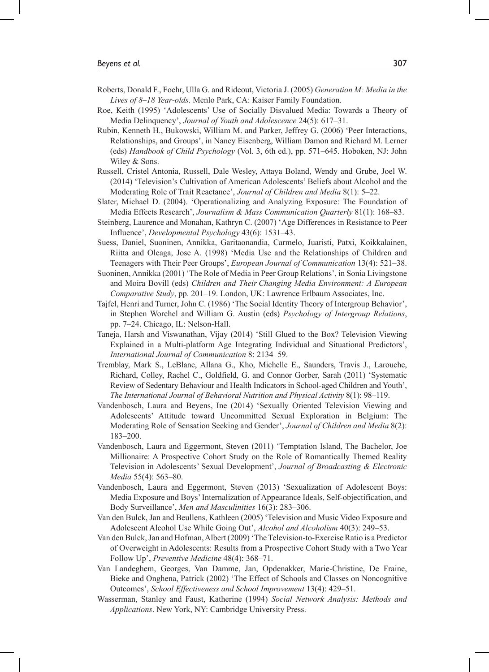- Roberts, Donald F., Foehr, Ulla G. and Rideout, Victoria J. (2005) *Generation M: Media in the Lives of 8–18 Year-olds*. Menlo Park, CA: Kaiser Family Foundation.
- Roe, Keith (1995) 'Adolescents' Use of Socially Disvalued Media: Towards a Theory of Media Delinquency', *Journal of Youth and Adolescence* 24(5): 617–31.
- Rubin, Kenneth H., Bukowski, William M. and Parker, Jeffrey G. (2006) 'Peer Interactions, Relationships, and Groups', in Nancy Eisenberg, William Damon and Richard M. Lerner (eds) *Handbook of Child Psychology* (Vol. 3, 6th ed.), pp. 571–645. Hoboken, NJ: John Wiley & Sons.
- Russell, Cristel Antonia, Russell, Dale Wesley, Attaya Boland, Wendy and Grube, Joel W. (2014) 'Television's Cultivation of American Adolescents' Beliefs about Alcohol and the Moderating Role of Trait Reactance', *Journal of Children and Media* 8(1): 5–22.
- Slater, Michael D. (2004). 'Operationalizing and Analyzing Exposure: The Foundation of Media Effects Research', *Journalism & Mass Communication Quarterly* 81(1): 168–83.
- Steinberg, Laurence and Monahan, Kathryn C. (2007) 'Age Differences in Resistance to Peer Influence', *Developmental Psychology* 43(6): 1531–43.
- Suess, Daniel, Suoninen, Annikka, Garitaonandia, Carmelo, Juaristi, Patxi, Koikkalainen, Riitta and Oleaga, Jose A. (1998) 'Media Use and the Relationships of Children and Teenagers with Their Peer Groups', *European Journal of Communication* 13(4): 521–38.
- Suoninen, Annikka (2001) 'The Role of Media in Peer Group Relations', in Sonia Livingstone and Moira Bovill (eds) *Children and Their Changing Media Environment: A European Comparative Study*, pp. 201–19. London, UK: Lawrence Erlbaum Associates, Inc.
- Tajfel, Henri and Turner, John C. (1986) 'The Social Identity Theory of Intergroup Behavior', in Stephen Worchel and William G. Austin (eds) *Psychology of Intergroup Relations*, pp. 7–24. Chicago, IL: Nelson-Hall.
- Taneja, Harsh and Viswanathan, Vijay (2014) 'Still Glued to the Box? Television Viewing Explained in a Multi-platform Age Integrating Individual and Situational Predictors', *International Journal of Communication* 8: 2134–59.
- Tremblay, Mark S., LeBlanc, Allana G., Kho, Michelle E., Saunders, Travis J., Larouche, Richard, Colley, Rachel C., Goldfield, G. and Connor Gorber, Sarah (2011) 'Systematic Review of Sedentary Behaviour and Health Indicators in School-aged Children and Youth', *The International Journal of Behavioral Nutrition and Physical Activity* 8(1): 98–119.
- Vandenbosch, Laura and Beyens, Ine (2014) 'Sexually Oriented Television Viewing and Adolescents' Attitude toward Uncommitted Sexual Exploration in Belgium: The Moderating Role of Sensation Seeking and Gender', *Journal of Children and Media* 8(2): 183–200.
- Vandenbosch, Laura and Eggermont, Steven (2011) 'Temptation Island, The Bachelor, Joe Millionaire: A Prospective Cohort Study on the Role of Romantically Themed Reality Television in Adolescents' Sexual Development', *Journal of Broadcasting & Electronic Media* 55(4): 563–80.
- Vandenbosch, Laura and Eggermont, Steven (2013) 'Sexualization of Adolescent Boys: Media Exposure and Boys' Internalization of Appearance Ideals, Self-objectification, and Body Surveillance', *Men and Masculinities* 16(3): 283–306.
- Van den Bulck, Jan and Beullens, Kathleen (2005) 'Television and Music Video Exposure and Adolescent Alcohol Use While Going Out', *Alcohol and Alcoholism* 40(3): 249–53.
- Van den Bulck, Jan and Hofman, Albert (2009) 'The Television-to-Exercise Ratio is a Predictor of Overweight in Adolescents: Results from a Prospective Cohort Study with a Two Year Follow Up', *Preventive Medicine* 48(4): 368–71.
- Van Landeghem, Georges, Van Damme, Jan, Opdenakker, Marie-Christine, De Fraine, Bieke and Onghena, Patrick (2002) 'The Effect of Schools and Classes on Noncognitive Outcomes', *School Effectiveness and School Improvement* 13(4): 429–51.
- Wasserman, Stanley and Faust, Katherine (1994) *Social Network Analysis: Methods and Applications*. New York, NY: Cambridge University Press.